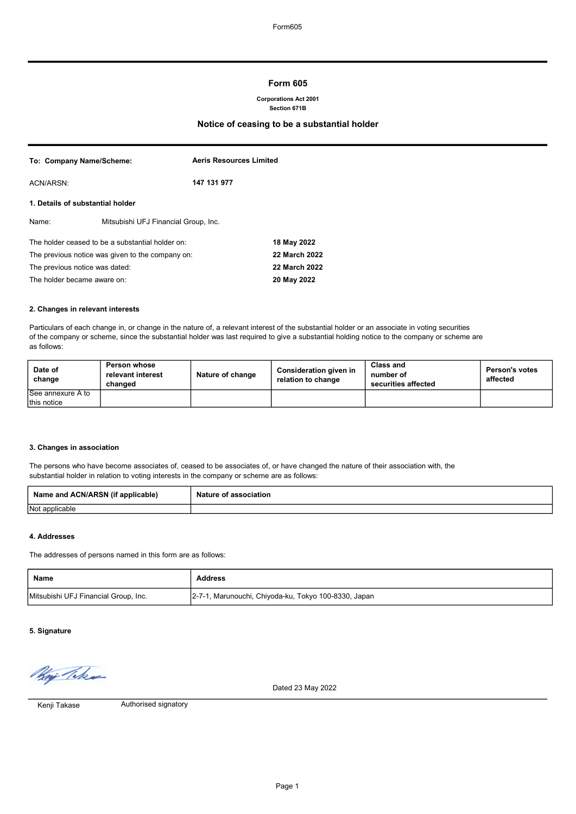# Form 605

#### Corporations Act 2001 Section 671B

# Notice of ceasing to be a substantial holder

| To: Company Name/Scheme:                         |                                      | <b>Aeris Resources Limited</b> |               |
|--------------------------------------------------|--------------------------------------|--------------------------------|---------------|
| ACN/ARSN:                                        |                                      | 147 131 977                    |               |
| 1. Details of substantial holder                 |                                      |                                |               |
| Name:                                            | Mitsubishi UFJ Financial Group, Inc. |                                |               |
| The holder ceased to be a substantial holder on: |                                      |                                | 18 May 2022   |
| The previous notice was given to the company on: |                                      |                                | 22 March 2022 |
| The previous notice was dated:                   |                                      | 22 March 2022                  |               |
| The holder became aware on:                      |                                      |                                | 20 May 2022   |

#### 2. Changes in relevant interests

Particulars of each change in, or change in the nature of, a relevant interest of the substantial holder or an associate in voting securities of the company or scheme, since the substantial holder was last required to give a substantial holding notice to the company or scheme are as follows:

| Date of<br>change | Person whose<br>relevant interest<br>changed | Nature of change | Consideration given in<br>relation to change | <b>Class and</b><br>number of<br>securities affected | <b>Person's votes</b><br>affected |
|-------------------|----------------------------------------------|------------------|----------------------------------------------|------------------------------------------------------|-----------------------------------|
| See annexure A to |                                              |                  |                                              |                                                      |                                   |
| this notice       |                                              |                  |                                              |                                                      |                                   |

#### 3. Changes in association

The persons who have become associates of, ceased to be associates of, or have changed the nature of their association with, the substantial holder in relation to voting interests in the company or scheme are as follows:

| Name and ACN/ARSN (if<br>`applicable) | Nature of association |
|---------------------------------------|-----------------------|
| Not applicable                        |                       |

#### 4. Addresses

The addresses of persons named in this form are as follows:

| Name                                 | <b>Address</b>                                       |
|--------------------------------------|------------------------------------------------------|
| Mitsubishi UFJ Financial Group, Inc. | 2-7-1, Marunouchi, Chiyoda-ku, Tokyo 100-8330, Japan |

# 5. Signature

Way Take

Dated 23 May 2022

Kenji Takase

Authorised signatory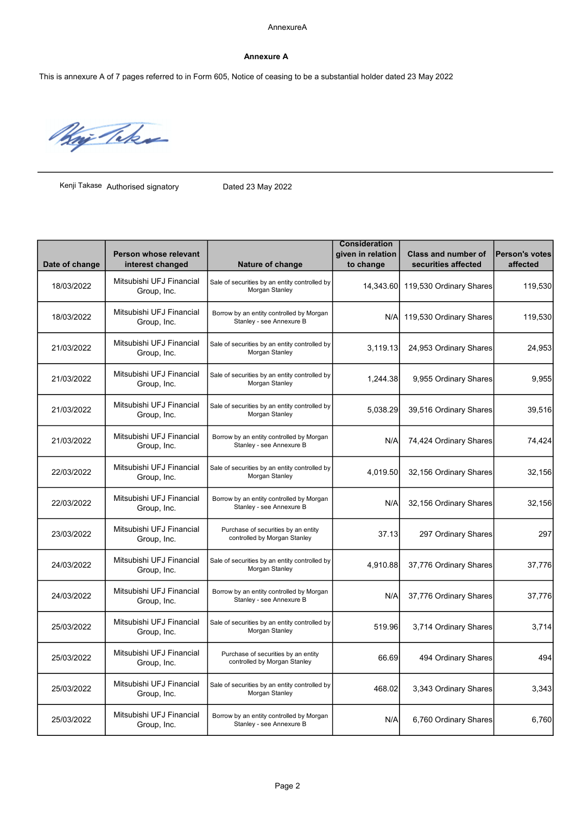#### Annexure A

This is annexure A of 7 pages referred to in Form 605, Notice of ceasing to be a substantial holder dated 23 May 2022

May Take

Kenji Takase Authorised signatory Dated 23 May 2022

| Date of change | Person whose relevant<br>interest changed | Nature of change                                                     | <b>Consideration</b><br>given in relation<br>to change | <b>Class and number of</b><br>securities affected | <b>Person's votes</b><br>affected |
|----------------|-------------------------------------------|----------------------------------------------------------------------|--------------------------------------------------------|---------------------------------------------------|-----------------------------------|
| 18/03/2022     | Mitsubishi UFJ Financial<br>Group, Inc.   | Sale of securities by an entity controlled by<br>Morgan Stanley      | 14,343.60                                              | 119,530 Ordinary Shares                           | 119,530                           |
| 18/03/2022     | Mitsubishi UFJ Financial<br>Group, Inc.   | Borrow by an entity controlled by Morgan<br>Stanley - see Annexure B | N/A                                                    | 119,530 Ordinary Shares                           | 119,530                           |
| 21/03/2022     | Mitsubishi UFJ Financial<br>Group, Inc.   | Sale of securities by an entity controlled by<br>Morgan Stanley      | 3,119.13                                               | 24,953 Ordinary Shares                            | 24,953                            |
| 21/03/2022     | Mitsubishi UFJ Financial<br>Group, Inc.   | Sale of securities by an entity controlled by<br>Morgan Stanley      | 1,244.38                                               | 9,955 Ordinary Shares                             | 9,955                             |
| 21/03/2022     | Mitsubishi UFJ Financial<br>Group, Inc.   | Sale of securities by an entity controlled by<br>Morgan Stanley      | 5,038.29                                               | 39,516 Ordinary Shares                            | 39,516                            |
| 21/03/2022     | Mitsubishi UFJ Financial<br>Group, Inc.   | Borrow by an entity controlled by Morgan<br>Stanley - see Annexure B | N/A                                                    | 74,424 Ordinary Shares                            | 74,424                            |
| 22/03/2022     | Mitsubishi UFJ Financial<br>Group, Inc.   | Sale of securities by an entity controlled by<br>Morgan Stanley      | 4,019.50                                               | 32,156 Ordinary Shares                            | 32,156                            |
| 22/03/2022     | Mitsubishi UFJ Financial<br>Group, Inc.   | Borrow by an entity controlled by Morgan<br>Stanley - see Annexure B | N/A                                                    | 32,156 Ordinary Shares                            | 32,156                            |
| 23/03/2022     | Mitsubishi UFJ Financial<br>Group, Inc.   | Purchase of securities by an entity<br>controlled by Morgan Stanley  | 37.13                                                  | 297 Ordinary Shares                               | 297                               |
| 24/03/2022     | Mitsubishi UFJ Financial<br>Group, Inc.   | Sale of securities by an entity controlled by<br>Morgan Stanley      | 4,910.88                                               | 37,776 Ordinary Shares                            | 37,776                            |
| 24/03/2022     | Mitsubishi UFJ Financial<br>Group, Inc.   | Borrow by an entity controlled by Morgan<br>Stanley - see Annexure B | N/A                                                    | 37,776 Ordinary Shares                            | 37,776                            |
| 25/03/2022     | Mitsubishi UFJ Financial<br>Group, Inc.   | Sale of securities by an entity controlled by<br>Morgan Stanley      | 519.96                                                 | 3,714 Ordinary Shares                             | 3,714                             |
| 25/03/2022     | Mitsubishi UFJ Financial<br>Group, Inc.   | Purchase of securities by an entity<br>controlled by Morgan Stanley  | 66.69                                                  | 494 Ordinary Shares                               | 494                               |
| 25/03/2022     | Mitsubishi UFJ Financial<br>Group, Inc.   | Sale of securities by an entity controlled by<br>Morgan Stanley      | 468.02                                                 | 3,343 Ordinary Shares                             | 3,343                             |
| 25/03/2022     | Mitsubishi UFJ Financial<br>Group, Inc.   | Borrow by an entity controlled by Morgan<br>Stanley - see Annexure B | N/A                                                    | 6,760 Ordinary Shares                             | 6,760                             |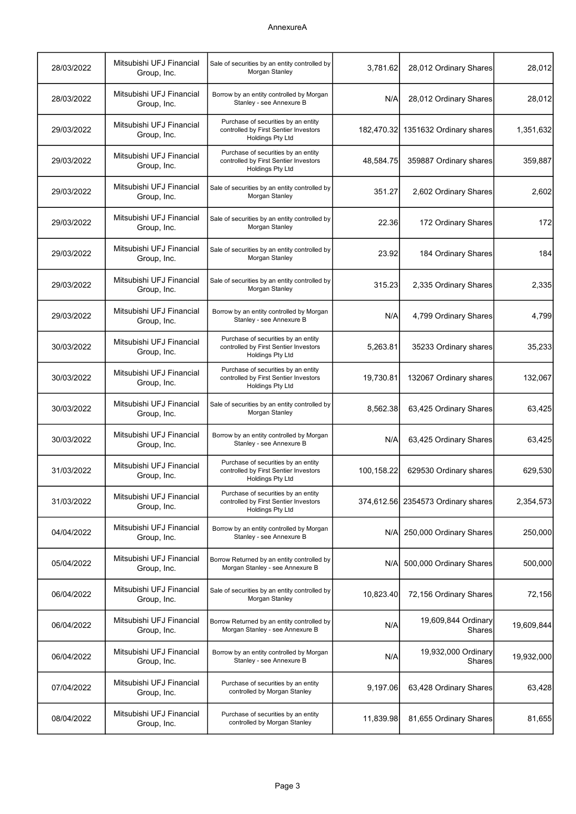| 28/03/2022 | Mitsubishi UFJ Financial<br>Group, Inc. | Sale of securities by an entity controlled by<br>Morgan Stanley                                         | 3,781.62   | 28,012 Ordinary Shares             | 28,012     |
|------------|-----------------------------------------|---------------------------------------------------------------------------------------------------------|------------|------------------------------------|------------|
| 28/03/2022 | Mitsubishi UFJ Financial<br>Group, Inc. | Borrow by an entity controlled by Morgan<br>Stanley - see Annexure B                                    | N/A        | 28,012 Ordinary Shares             | 28,012     |
| 29/03/2022 | Mitsubishi UFJ Financial<br>Group, Inc. | Purchase of securities by an entity<br>controlled by First Sentier Investors<br><b>Holdings Pty Ltd</b> |            | 182,470.32 1351632 Ordinary shares | 1,351,632  |
| 29/03/2022 | Mitsubishi UFJ Financial<br>Group, Inc. | Purchase of securities by an entity<br>controlled by First Sentier Investors<br><b>Holdings Pty Ltd</b> | 48,584.75  | 359887 Ordinary shares             | 359,887    |
| 29/03/2022 | Mitsubishi UFJ Financial<br>Group, Inc. | Sale of securities by an entity controlled by<br>Morgan Stanley                                         | 351.27     | 2,602 Ordinary Shares              | 2,602      |
| 29/03/2022 | Mitsubishi UFJ Financial<br>Group, Inc. | Sale of securities by an entity controlled by<br>Morgan Stanley                                         | 22.36      | 172 Ordinary Shares                | 172        |
| 29/03/2022 | Mitsubishi UFJ Financial<br>Group, Inc. | Sale of securities by an entity controlled by<br>Morgan Stanley                                         | 23.92      | 184 Ordinary Shares                | 184        |
| 29/03/2022 | Mitsubishi UFJ Financial<br>Group, Inc. | Sale of securities by an entity controlled by<br>Morgan Stanley                                         | 315.23     | 2,335 Ordinary Shares              | 2,335      |
| 29/03/2022 | Mitsubishi UFJ Financial<br>Group, Inc. | Borrow by an entity controlled by Morgan<br>Stanley - see Annexure B                                    | N/A        | 4,799 Ordinary Shares              | 4,799      |
| 30/03/2022 | Mitsubishi UFJ Financial<br>Group, Inc. | Purchase of securities by an entity<br>controlled by First Sentier Investors<br><b>Holdings Pty Ltd</b> | 5,263.81   | 35233 Ordinary shares              | 35,233     |
| 30/03/2022 | Mitsubishi UFJ Financial<br>Group, Inc. | Purchase of securities by an entity<br>controlled by First Sentier Investors<br><b>Holdings Pty Ltd</b> | 19,730.81  | 132067 Ordinary shares             | 132,067    |
| 30/03/2022 | Mitsubishi UFJ Financial<br>Group, Inc. | Sale of securities by an entity controlled by<br>Morgan Stanley                                         | 8,562.38   | 63,425 Ordinary Shares             | 63,425     |
| 30/03/2022 | Mitsubishi UFJ Financial<br>Group, Inc. | Borrow by an entity controlled by Morgan<br>Stanley - see Annexure B                                    | N/A        | 63,425 Ordinary Shares             | 63,425     |
| 31/03/2022 | Mitsubishi UFJ Financial<br>Group, Inc. | Purchase of securities by an entity<br>controlled by First Sentier Investors<br><b>Holdings Pty Ltd</b> | 100,158.22 | 629530 Ordinary shares             | 629,530    |
| 31/03/2022 | Mitsubishi UFJ Financial<br>Group, Inc. | Purchase of securities by an entity<br>controlled by First Sentier Investors<br><b>Holdings Pty Ltd</b> |            | 374,612.56 2354573 Ordinary shares | 2,354,573  |
| 04/04/2022 | Mitsubishi UFJ Financial<br>Group, Inc. | Borrow by an entity controlled by Morgan<br>Stanley - see Annexure B                                    | N/A        | 250,000 Ordinary Shares            | 250,000    |
| 05/04/2022 | Mitsubishi UFJ Financial<br>Group, Inc. | Borrow Returned by an entity controlled by<br>Morgan Stanley - see Annexure B                           | N/A        | 500,000 Ordinary Shares            | 500,000    |
| 06/04/2022 | Mitsubishi UFJ Financial<br>Group, Inc. | Sale of securities by an entity controlled by<br>Morgan Stanley                                         | 10,823.40  | 72,156 Ordinary Shares             | 72,156     |
| 06/04/2022 | Mitsubishi UFJ Financial<br>Group, Inc. | Borrow Returned by an entity controlled by<br>Morgan Stanley - see Annexure B                           | N/A        | 19,609,844 Ordinary<br>Shares      | 19,609,844 |
| 06/04/2022 | Mitsubishi UFJ Financial<br>Group, Inc. | Borrow by an entity controlled by Morgan<br>Stanley - see Annexure B                                    | N/A        | 19,932,000 Ordinary<br>Shares      | 19,932,000 |
| 07/04/2022 | Mitsubishi UFJ Financial<br>Group, Inc. | Purchase of securities by an entity<br>controlled by Morgan Stanley                                     | 9,197.06   | 63,428 Ordinary Shares             | 63,428     |
| 08/04/2022 | Mitsubishi UFJ Financial<br>Group, Inc. | Purchase of securities by an entity<br>controlled by Morgan Stanley                                     | 11,839.98  | 81,655 Ordinary Shares             | 81,655     |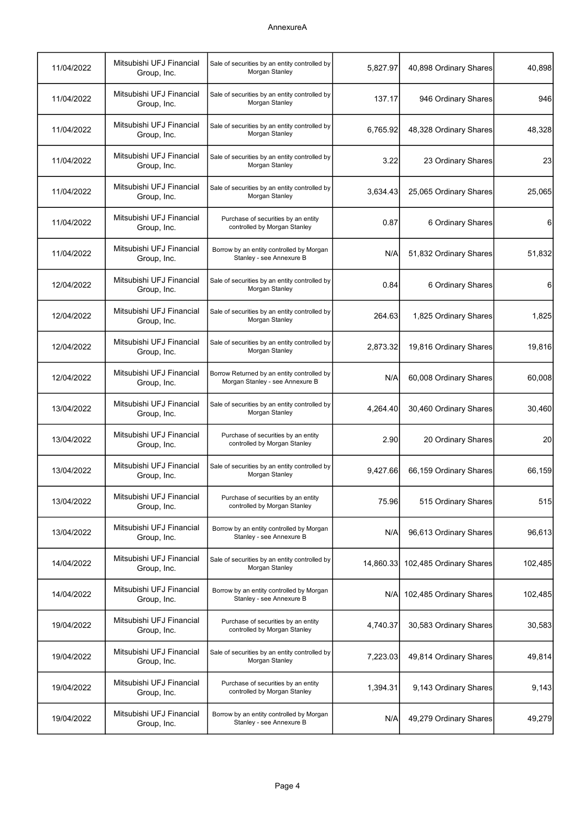| 11/04/2022 | Mitsubishi UFJ Financial<br>Group, Inc. | Sale of securities by an entity controlled by<br>Morgan Stanley               | 5,827.97  | 40,898 Ordinary Shares  | 40,898  |
|------------|-----------------------------------------|-------------------------------------------------------------------------------|-----------|-------------------------|---------|
| 11/04/2022 | Mitsubishi UFJ Financial<br>Group, Inc. | Sale of securities by an entity controlled by<br>Morgan Stanley               | 137.17    | 946 Ordinary Shares     | 946     |
| 11/04/2022 | Mitsubishi UFJ Financial<br>Group, Inc. | Sale of securities by an entity controlled by<br>Morgan Stanley               | 6,765.92  | 48,328 Ordinary Shares  | 48,328  |
| 11/04/2022 | Mitsubishi UFJ Financial<br>Group, Inc. | Sale of securities by an entity controlled by<br>Morgan Stanley               | 3.22      | 23 Ordinary Shares      | 23      |
| 11/04/2022 | Mitsubishi UFJ Financial<br>Group, Inc. | Sale of securities by an entity controlled by<br>Morgan Stanley               | 3,634.43  | 25,065 Ordinary Shares  | 25,065  |
| 11/04/2022 | Mitsubishi UFJ Financial<br>Group, Inc. | Purchase of securities by an entity<br>controlled by Morgan Stanley           | 0.87      | 6 Ordinary Shares       | 6       |
| 11/04/2022 | Mitsubishi UFJ Financial<br>Group, Inc. | Borrow by an entity controlled by Morgan<br>Stanley - see Annexure B          | N/A       | 51,832 Ordinary Shares  | 51,832  |
| 12/04/2022 | Mitsubishi UFJ Financial<br>Group, Inc. | Sale of securities by an entity controlled by<br>Morgan Stanley               | 0.84      | 6 Ordinary Shares       | 6       |
| 12/04/2022 | Mitsubishi UFJ Financial<br>Group, Inc. | Sale of securities by an entity controlled by<br>Morgan Stanley               | 264.63    | 1,825 Ordinary Shares   | 1,825   |
| 12/04/2022 | Mitsubishi UFJ Financial<br>Group, Inc. | Sale of securities by an entity controlled by<br>Morgan Stanley               | 2,873.32  | 19,816 Ordinary Shares  | 19,816  |
| 12/04/2022 | Mitsubishi UFJ Financial<br>Group, Inc. | Borrow Returned by an entity controlled by<br>Morgan Stanley - see Annexure B | N/A       | 60,008 Ordinary Shares  | 60,008  |
| 13/04/2022 | Mitsubishi UFJ Financial<br>Group, Inc. | Sale of securities by an entity controlled by<br>Morgan Stanley               | 4,264.40  | 30,460 Ordinary Shares  | 30,460  |
| 13/04/2022 | Mitsubishi UFJ Financial<br>Group, Inc. | Purchase of securities by an entity<br>controlled by Morgan Stanley           | 2.90      | 20 Ordinary Shares      | 20      |
| 13/04/2022 | Mitsubishi UFJ Financial<br>Group, Inc. | Sale of securities by an entity controlled by<br>Morgan Stanley               | 9,427.66  | 66,159 Ordinary Shares  | 66,159  |
| 13/04/2022 | Mitsubishi UFJ Financial<br>Group, Inc. | Purchase of securities by an entity<br>controlled by Morgan Stanley           | 75.96     | 515 Ordinary Shares     | 515     |
| 13/04/2022 | Mitsubishi UFJ Financial<br>Group, Inc. | Borrow by an entity controlled by Morgan<br>Stanley - see Annexure B          | N/A       | 96,613 Ordinary Shares  | 96,613  |
| 14/04/2022 | Mitsubishi UFJ Financial<br>Group, Inc. | Sale of securities by an entity controlled by<br>Morgan Stanley               | 14,860.33 | 102,485 Ordinary Shares | 102,485 |
| 14/04/2022 | Mitsubishi UFJ Financial<br>Group, Inc. | Borrow by an entity controlled by Morgan<br>Stanley - see Annexure B          | N/A       | 102,485 Ordinary Shares | 102,485 |
| 19/04/2022 | Mitsubishi UFJ Financial<br>Group, Inc. | Purchase of securities by an entity<br>controlled by Morgan Stanley           | 4,740.37  | 30,583 Ordinary Shares  | 30,583  |
| 19/04/2022 | Mitsubishi UFJ Financial<br>Group, Inc. | Sale of securities by an entity controlled by<br>Morgan Stanley               | 7,223.03  | 49,814 Ordinary Shares  | 49,814  |
| 19/04/2022 | Mitsubishi UFJ Financial<br>Group, Inc. | Purchase of securities by an entity<br>controlled by Morgan Stanley           | 1,394.31  | 9,143 Ordinary Shares   | 9,143   |
| 19/04/2022 | Mitsubishi UFJ Financial<br>Group, Inc. | Borrow by an entity controlled by Morgan<br>Stanley - see Annexure B          | N/A       | 49,279 Ordinary Shares  | 49,279  |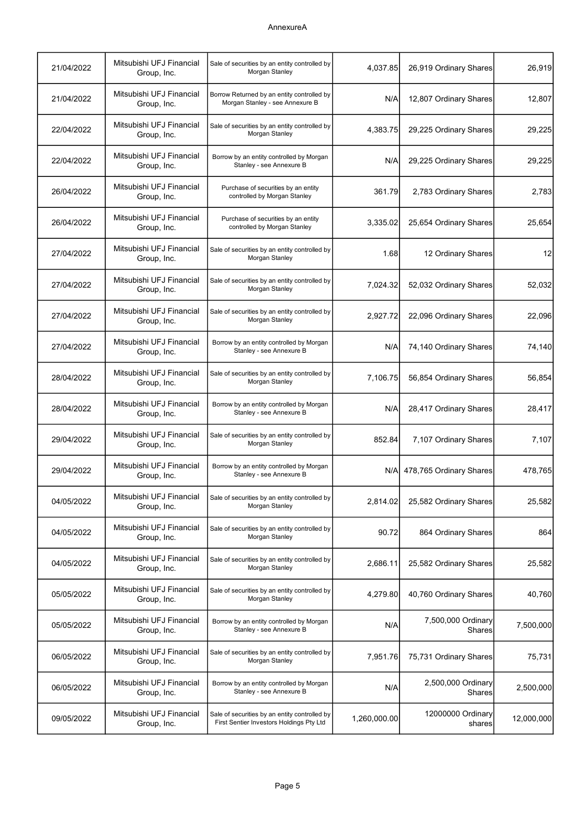| 21/04/2022 | Mitsubishi UFJ Financial<br>Group, Inc. | Sale of securities by an entity controlled by<br>Morgan Stanley                           | 4,037.85     | 26,919 Ordinary Shares       | 26,919     |
|------------|-----------------------------------------|-------------------------------------------------------------------------------------------|--------------|------------------------------|------------|
| 21/04/2022 | Mitsubishi UFJ Financial<br>Group, Inc. | Borrow Returned by an entity controlled by<br>Morgan Stanley - see Annexure B             | N/A          | 12,807 Ordinary Shares       | 12,807     |
| 22/04/2022 | Mitsubishi UFJ Financial<br>Group, Inc. | Sale of securities by an entity controlled by<br>Morgan Stanley                           | 4,383.75     | 29,225 Ordinary Shares       | 29,225     |
| 22/04/2022 | Mitsubishi UFJ Financial<br>Group, Inc. | Borrow by an entity controlled by Morgan<br>Stanley - see Annexure B                      | N/A          | 29,225 Ordinary Shares       | 29,225     |
| 26/04/2022 | Mitsubishi UFJ Financial<br>Group, Inc. | Purchase of securities by an entity<br>controlled by Morgan Stanley                       | 361.79       | 2,783 Ordinary Shares        | 2,783      |
| 26/04/2022 | Mitsubishi UFJ Financial<br>Group, Inc. | Purchase of securities by an entity<br>controlled by Morgan Stanley                       | 3,335.02     | 25,654 Ordinary Shares       | 25,654     |
| 27/04/2022 | Mitsubishi UFJ Financial<br>Group, Inc. | Sale of securities by an entity controlled by<br>Morgan Stanley                           | 1.68         | 12 Ordinary Shares           | 12         |
| 27/04/2022 | Mitsubishi UFJ Financial<br>Group, Inc. | Sale of securities by an entity controlled by<br>Morgan Stanley                           | 7,024.32     | 52,032 Ordinary Shares       | 52,032     |
| 27/04/2022 | Mitsubishi UFJ Financial<br>Group, Inc. | Sale of securities by an entity controlled by<br>Morgan Stanley                           | 2,927.72     | 22,096 Ordinary Shares       | 22,096     |
| 27/04/2022 | Mitsubishi UFJ Financial<br>Group, Inc. | Borrow by an entity controlled by Morgan<br>Stanley - see Annexure B                      | N/A          | 74,140 Ordinary Shares       | 74,140     |
| 28/04/2022 | Mitsubishi UFJ Financial<br>Group, Inc. | Sale of securities by an entity controlled by<br>Morgan Stanley                           | 7,106.75     | 56,854 Ordinary Shares       | 56,854     |
| 28/04/2022 | Mitsubishi UFJ Financial<br>Group, Inc. | Borrow by an entity controlled by Morgan<br>Stanley - see Annexure B                      | N/A          | 28,417 Ordinary Shares       | 28,417     |
| 29/04/2022 | Mitsubishi UFJ Financial<br>Group, Inc. | Sale of securities by an entity controlled by<br>Morgan Stanley                           | 852.84       | 7,107 Ordinary Shares        | 7,107      |
| 29/04/2022 | Mitsubishi UFJ Financial<br>Group, Inc. | Borrow by an entity controlled by Morgan<br>Stanley - see Annexure B                      | N/AI         | 478,765 Ordinary Shares      | 478,765    |
| 04/05/2022 | Mitsubishi UFJ Financial<br>Group, Inc. | Sale of securities by an entity controlled by<br>Morgan Stanley                           | 2,814.02     | 25,582 Ordinary Shares       | 25,582     |
| 04/05/2022 | Mitsubishi UFJ Financial<br>Group, Inc. | Sale of securities by an entity controlled by<br>Morgan Stanley                           | 90.72        | 864 Ordinary Shares          | 864        |
| 04/05/2022 | Mitsubishi UFJ Financial<br>Group, Inc. | Sale of securities by an entity controlled by<br>Morgan Stanley                           | 2,686.11     | 25,582 Ordinary Shares       | 25,582     |
| 05/05/2022 | Mitsubishi UFJ Financial<br>Group, Inc. | Sale of securities by an entity controlled by<br>Morgan Stanley                           | 4,279.80     | 40,760 Ordinary Shares       | 40,760     |
| 05/05/2022 | Mitsubishi UFJ Financial<br>Group, Inc. | Borrow by an entity controlled by Morgan<br>Stanley - see Annexure B                      | N/A          | 7,500,000 Ordinary<br>Shares | 7,500,000  |
| 06/05/2022 | Mitsubishi UFJ Financial<br>Group, Inc. | Sale of securities by an entity controlled by<br>Morgan Stanley                           | 7,951.76     | 75,731 Ordinary Shares       | 75,731     |
| 06/05/2022 | Mitsubishi UFJ Financial<br>Group, Inc. | Borrow by an entity controlled by Morgan<br>Stanley - see Annexure B                      | N/A          | 2,500,000 Ordinary<br>Shares | 2,500,000  |
| 09/05/2022 | Mitsubishi UFJ Financial<br>Group, Inc. | Sale of securities by an entity controlled by<br>First Sentier Investors Holdings Pty Ltd | 1,260,000.00 | 12000000 Ordinary<br>shares  | 12,000,000 |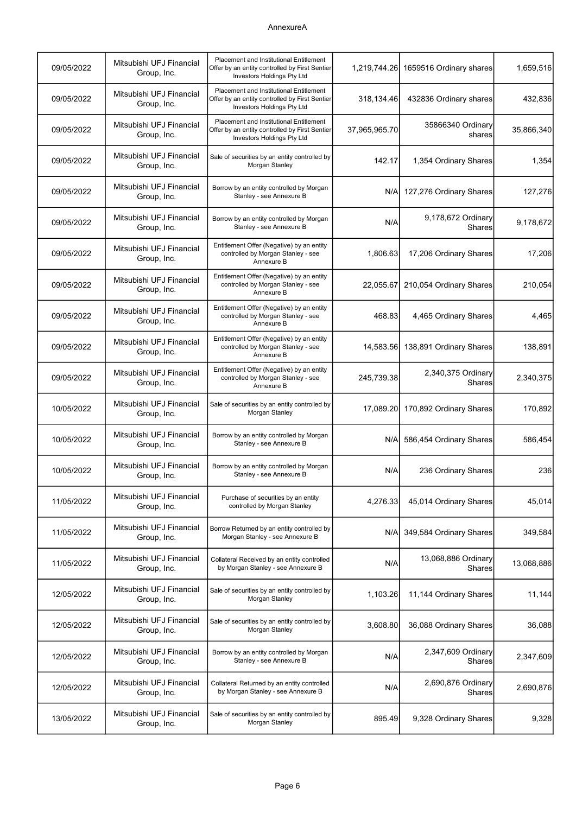| 1,659,516  | 1659516 Ordinary shares              | 1,219,744.26  | <b>Placement and Institutional Entitlement</b><br>Offer by an entity controlled by First Sentier<br>Investors Holdings Pty Ltd | Mitsubishi UFJ Financial<br>Group, Inc. | 09/05/2022 |
|------------|--------------------------------------|---------------|--------------------------------------------------------------------------------------------------------------------------------|-----------------------------------------|------------|
| 432,836    | 432836 Ordinary shares               | 318,134.46    | <b>Placement and Institutional Entitlement</b><br>Offer by an entity controlled by First Sentier<br>Investors Holdings Pty Ltd | Mitsubishi UFJ Financial<br>Group, Inc. | 09/05/2022 |
| 35,866,340 | 35866340 Ordinary<br>shares          | 37,965,965.70 | Placement and Institutional Entitlement<br>Offer by an entity controlled by First Sentier<br>Investors Holdings Pty Ltd        | Mitsubishi UFJ Financial<br>Group, Inc. | 09/05/2022 |
| 1,354      | 1,354 Ordinary Shares                | 142.17        | Sale of securities by an entity controlled by<br>Morgan Stanley                                                                | Mitsubishi UFJ Financial<br>Group, Inc. | 09/05/2022 |
| 127,276    | 127,276 Ordinary Shares              | N/A           | Borrow by an entity controlled by Morgan<br>Stanley - see Annexure B                                                           | Mitsubishi UFJ Financial<br>Group, Inc. | 09/05/2022 |
| 9,178,672  | 9,178,672 Ordinary<br><b>Shares</b>  | N/A           | Borrow by an entity controlled by Morgan<br>Stanley - see Annexure B                                                           | Mitsubishi UFJ Financial<br>Group, Inc. | 09/05/2022 |
| 17,206     | 17,206 Ordinary Shares               | 1,806.63      | Entitlement Offer (Negative) by an entity<br>controlled by Morgan Stanley - see<br>Annexure B                                  | Mitsubishi UFJ Financial<br>Group, Inc. | 09/05/2022 |
| 210,054    | 210,054 Ordinary Shares              | 22,055.67     | Entitlement Offer (Negative) by an entity<br>controlled by Morgan Stanley - see<br>Annexure B                                  | Mitsubishi UFJ Financial<br>Group, Inc. | 09/05/2022 |
| 4,465      | 4,465 Ordinary Shares                | 468.83        | Entitlement Offer (Negative) by an entity<br>controlled by Morgan Stanley - see<br>Annexure B                                  | Mitsubishi UFJ Financial<br>Group, Inc. | 09/05/2022 |
| 138,891    | 14,583.56 138,891 Ordinary Shares    |               | Entitlement Offer (Negative) by an entity<br>controlled by Morgan Stanley - see<br>Annexure B                                  | Mitsubishi UFJ Financial<br>Group, Inc. | 09/05/2022 |
| 2,340,375  | 2,340,375 Ordinary<br><b>Shares</b>  | 245,739.38    | Entitlement Offer (Negative) by an entity<br>controlled by Morgan Stanley - see<br>Annexure B                                  | Mitsubishi UFJ Financial<br>Group, Inc. | 09/05/2022 |
| 170,892    | 17,089.20 170,892 Ordinary Shares    |               | Sale of securities by an entity controlled by<br>Morgan Stanley                                                                | Mitsubishi UFJ Financial<br>Group, Inc. | 10/05/2022 |
| 586,454    | 586,454 Ordinary Shares              | N/A           | Borrow by an entity controlled by Morgan<br>Stanley - see Annexure B                                                           | Mitsubishi UFJ Financial<br>Group, Inc. | 10/05/2022 |
| 236        | 236 Ordinary Shares                  | N/A           | Borrow by an entity controlled by Morgan<br>Stanley - see Annexure B                                                           | Mitsubishi UFJ Financial<br>Group, Inc. | 10/05/2022 |
| 45,014     | 45,014 Ordinary Shares               | 4,276.33      | Purchase of securities by an entity<br>controlled by Morgan Stanley                                                            | Mitsubishi UFJ Financial<br>Group, Inc. | 11/05/2022 |
| 349,584    | 349,584 Ordinary Shares              | N/A           | Borrow Returned by an entity controlled by<br>Morgan Stanley - see Annexure B                                                  | Mitsubishi UFJ Financial<br>Group, Inc. | 11/05/2022 |
| 13,068,886 | 13,068,886 Ordinary<br><b>Shares</b> | N/A           | Collateral Received by an entity controlled<br>by Morgan Stanley - see Annexure B                                              | Mitsubishi UFJ Financial<br>Group, Inc. | 11/05/2022 |
| 11,144     | 11,144 Ordinary Shares               | 1,103.26      | Sale of securities by an entity controlled by<br>Morgan Stanley                                                                | Mitsubishi UFJ Financial<br>Group, Inc. | 12/05/2022 |
| 36,088     | 36,088 Ordinary Shares               | 3,608.80      | Sale of securities by an entity controlled by<br>Morgan Stanley                                                                | Mitsubishi UFJ Financial<br>Group, Inc. | 12/05/2022 |
| 2,347,609  | 2,347,609 Ordinary<br>Shares         | N/A           | Borrow by an entity controlled by Morgan<br>Stanley - see Annexure B                                                           | Mitsubishi UFJ Financial<br>Group, Inc. | 12/05/2022 |
| 2,690,876  | 2,690,876 Ordinary<br>Shares         | N/A           | Collateral Returned by an entity controlled<br>by Morgan Stanley - see Annexure B                                              | Mitsubishi UFJ Financial<br>Group, Inc. | 12/05/2022 |
| 9,328      | 9,328 Ordinary Shares                | 895.49        | Sale of securities by an entity controlled by<br>Morgan Stanley                                                                | Mitsubishi UFJ Financial<br>Group, Inc. | 13/05/2022 |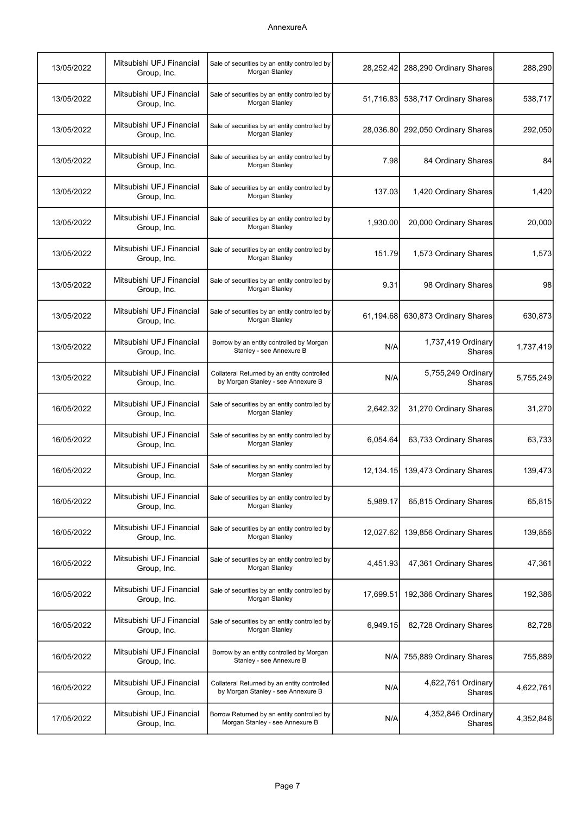| 13/05/2022 | Mitsubishi UFJ Financial<br>Group, Inc. | Sale of securities by an entity controlled by<br>Morgan Stanley                   | 28.252.42 | 288,290 Ordinary Shares             | 288,290   |
|------------|-----------------------------------------|-----------------------------------------------------------------------------------|-----------|-------------------------------------|-----------|
| 13/05/2022 | Mitsubishi UFJ Financial<br>Group, Inc. | Sale of securities by an entity controlled by<br>Morgan Stanley                   | 51,716.83 | 538,717 Ordinary Shares             | 538,717   |
| 13/05/2022 | Mitsubishi UFJ Financial<br>Group, Inc. | Sale of securities by an entity controlled by<br>Morgan Stanley                   | 28,036.80 | 292,050 Ordinary Shares             | 292,050   |
| 13/05/2022 | Mitsubishi UFJ Financial<br>Group, Inc. | Sale of securities by an entity controlled by<br>Morgan Stanley                   | 7.98      | 84 Ordinary Shares                  | 84        |
| 13/05/2022 | Mitsubishi UFJ Financial<br>Group, Inc. | Sale of securities by an entity controlled by<br>Morgan Stanley                   | 137.03    | 1,420 Ordinary Shares               | 1,420     |
| 13/05/2022 | Mitsubishi UFJ Financial<br>Group, Inc. | Sale of securities by an entity controlled by<br>Morgan Stanley                   | 1,930.00  | 20,000 Ordinary Shares              | 20,000    |
| 13/05/2022 | Mitsubishi UFJ Financial<br>Group, Inc. | Sale of securities by an entity controlled by<br>Morgan Stanley                   | 151.79    | 1,573 Ordinary Shares               | 1,573     |
| 13/05/2022 | Mitsubishi UFJ Financial<br>Group, Inc. | Sale of securities by an entity controlled by<br>Morgan Stanley                   | 9.31      | 98 Ordinary Shares                  | 98        |
| 13/05/2022 | Mitsubishi UFJ Financial<br>Group, Inc. | Sale of securities by an entity controlled by<br>Morgan Stanley                   | 61,194.68 | 630,873 Ordinary Shares             | 630,873   |
| 13/05/2022 | Mitsubishi UFJ Financial<br>Group, Inc. | Borrow by an entity controlled by Morgan<br>Stanley - see Annexure B              | N/A       | 1,737,419 Ordinary<br><b>Shares</b> | 1,737,419 |
| 13/05/2022 | Mitsubishi UFJ Financial<br>Group, Inc. | Collateral Returned by an entity controlled<br>by Morgan Stanley - see Annexure B | N/A       | 5,755,249 Ordinary<br>Shares        | 5,755,249 |
| 16/05/2022 | Mitsubishi UFJ Financial<br>Group, Inc. | Sale of securities by an entity controlled by<br>Morgan Stanley                   | 2,642.32  | 31,270 Ordinary Shares              | 31,270    |
| 16/05/2022 | Mitsubishi UFJ Financial<br>Group, Inc. | Sale of securities by an entity controlled by<br>Morgan Stanley                   | 6,054.64  | 63,733 Ordinary Shares              | 63,733    |
| 16/05/2022 | Mitsubishi UFJ Financial<br>Group, Inc. | Sale of securities by an entity controlled by<br>Morgan Stanley                   | 12,134.15 | 139,473 Ordinary Shares             | 139,473   |
| 16/05/2022 | Mitsubishi UFJ Financial<br>Group, Inc. | Sale of securities by an entity controlled by<br>Morgan Stanley                   | 5,989.17  | 65,815 Ordinary Shares              | 65,815    |
| 16/05/2022 | Mitsubishi UFJ Financial<br>Group, Inc. | Sale of securities by an entity controlled by<br>Morgan Stanley                   | 12,027.62 | 139,856 Ordinary Shares             | 139,856   |
| 16/05/2022 | Mitsubishi UFJ Financial<br>Group, Inc. | Sale of securities by an entity controlled by<br>Morgan Stanley                   | 4,451.93  | 47,361 Ordinary Shares              | 47,361    |
| 16/05/2022 | Mitsubishi UFJ Financial<br>Group, Inc. | Sale of securities by an entity controlled by<br>Morgan Stanley                   | 17,699.51 | 192,386 Ordinary Shares             | 192,386   |
| 16/05/2022 | Mitsubishi UFJ Financial<br>Group, Inc. | Sale of securities by an entity controlled by<br>Morgan Stanley                   | 6,949.15  | 82,728 Ordinary Shares              | 82,728    |
| 16/05/2022 | Mitsubishi UFJ Financial<br>Group, Inc. | Borrow by an entity controlled by Morgan<br>Stanley - see Annexure B              | N/A       | 755,889 Ordinary Shares             | 755,889   |
| 16/05/2022 | Mitsubishi UFJ Financial<br>Group, Inc. | Collateral Returned by an entity controlled<br>by Morgan Stanley - see Annexure B | N/A       | 4,622,761 Ordinary<br>Shares        | 4,622,761 |
| 17/05/2022 | Mitsubishi UFJ Financial<br>Group, Inc. | Borrow Returned by an entity controlled by<br>Morgan Stanley - see Annexure B     | N/A       | 4,352,846 Ordinary<br>Shares        | 4,352,846 |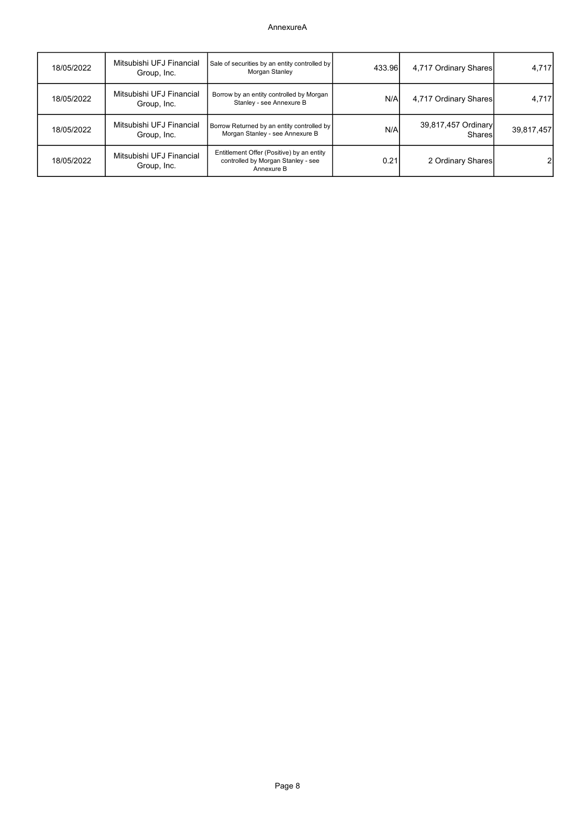| 18/05/2022 | Mitsubishi UFJ Financial<br>Group, Inc. | Sale of securities by an entity controlled by<br>Morgan Stanley                               | 433.96 | 4,717 Ordinary Shares                | 4,717      |
|------------|-----------------------------------------|-----------------------------------------------------------------------------------------------|--------|--------------------------------------|------------|
| 18/05/2022 | Mitsubishi UFJ Financial<br>Group, Inc. | Borrow by an entity controlled by Morgan<br>Stanley - see Annexure B                          | N/Al   | 4,717 Ordinary Shares                | 4,717      |
| 18/05/2022 | Mitsubishi UFJ Financial<br>Group, Inc. | Borrow Returned by an entity controlled by<br>Morgan Stanley - see Annexure B                 | N/A    | 39,817,457 Ordinary<br><b>Shares</b> | 39,817,457 |
| 18/05/2022 | Mitsubishi UFJ Financial<br>Group, Inc. | Entitlement Offer (Positive) by an entity<br>controlled by Morgan Stanley - see<br>Annexure B | 0.21   | 2 Ordinary Shares                    |            |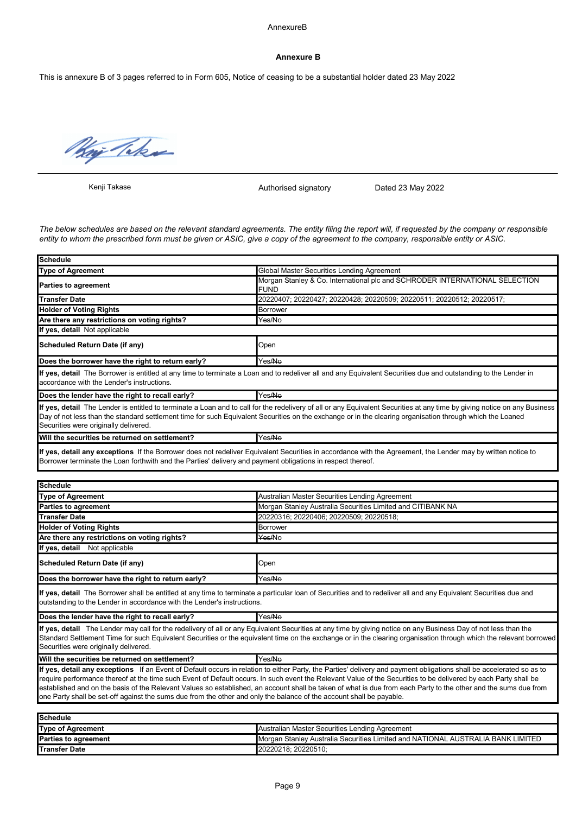#### AnnexureB

#### Annexure B

This is annexure B of 3 pages referred to in Form 605, Notice of ceasing to be a substantial holder dated 23 May 2022

Way Taker

Kenji Takase

Authorised signatory Dated 23 May 2022

The below schedules are based on the relevant standard agreements. The entity filing the report will, if requested by the company or responsible entity to whom the prescribed form must be given or ASIC, give a copy of the agreement to the company, responsible entity or ASIC.

| <b>Schedule</b>                                                                                                      |                                                                                                                                                                                                                                                                                                                                                                                                                                                                                                            |  |  |  |
|----------------------------------------------------------------------------------------------------------------------|------------------------------------------------------------------------------------------------------------------------------------------------------------------------------------------------------------------------------------------------------------------------------------------------------------------------------------------------------------------------------------------------------------------------------------------------------------------------------------------------------------|--|--|--|
| <b>Type of Agreement</b>                                                                                             | Global Master Securities Lending Agreement                                                                                                                                                                                                                                                                                                                                                                                                                                                                 |  |  |  |
| <b>Parties to agreement</b>                                                                                          | Morgan Stanley & Co. International plc and SCHRODER INTERNATIONAL SELECTION<br><b>FUND</b>                                                                                                                                                                                                                                                                                                                                                                                                                 |  |  |  |
| <b>Transfer Date</b>                                                                                                 | 20220407; 20220427; 20220428; 20220509; 20220511; 20220512; 20220517;                                                                                                                                                                                                                                                                                                                                                                                                                                      |  |  |  |
| <b>Holder of Voting Rights</b>                                                                                       | <b>Borrower</b>                                                                                                                                                                                                                                                                                                                                                                                                                                                                                            |  |  |  |
| Are there any restrictions on voting rights?                                                                         | Yes/No                                                                                                                                                                                                                                                                                                                                                                                                                                                                                                     |  |  |  |
| If yes, detail Not applicable                                                                                        |                                                                                                                                                                                                                                                                                                                                                                                                                                                                                                            |  |  |  |
| Scheduled Return Date (if any)                                                                                       | Open                                                                                                                                                                                                                                                                                                                                                                                                                                                                                                       |  |  |  |
| Does the borrower have the right to return early?                                                                    | Yes/No                                                                                                                                                                                                                                                                                                                                                                                                                                                                                                     |  |  |  |
| accordance with the Lender's instructions.                                                                           | If yes, detail The Borrower is entitled at any time to terminate a Loan and to redeliver all and any Equivalent Securities due and outstanding to the Lender in                                                                                                                                                                                                                                                                                                                                            |  |  |  |
| Does the lender have the right to recall early?                                                                      | Yes/No                                                                                                                                                                                                                                                                                                                                                                                                                                                                                                     |  |  |  |
| Securities were originally delivered.                                                                                | If yes, detail The Lender is entitled to terminate a Loan and to call for the redelivery of all or any Equivalent Securities at any time by giving notice on any Business<br>Day of not less than the standard settlement time for such Equivalent Securities on the exchange or in the clearing organisation through which the Loaned                                                                                                                                                                     |  |  |  |
| Will the securities be returned on settlement?                                                                       | Yes/No                                                                                                                                                                                                                                                                                                                                                                                                                                                                                                     |  |  |  |
| Borrower terminate the Loan forthwith and the Parties' delivery and payment obligations in respect thereof.          | If yes, detail any exceptions If the Borrower does not redeliver Equivalent Securities in accordance with the Agreement, the Lender may by written notice to                                                                                                                                                                                                                                                                                                                                               |  |  |  |
| Schedule                                                                                                             |                                                                                                                                                                                                                                                                                                                                                                                                                                                                                                            |  |  |  |
| <b>Type of Agreement</b>                                                                                             | Australian Master Securities Lending Agreement                                                                                                                                                                                                                                                                                                                                                                                                                                                             |  |  |  |
| Parties to agreement                                                                                                 | Morgan Stanley Australia Securities Limited and CITIBANK NA                                                                                                                                                                                                                                                                                                                                                                                                                                                |  |  |  |
| <b>Transfer Date</b>                                                                                                 | 20220316; 20220406; 20220509; 20220518;                                                                                                                                                                                                                                                                                                                                                                                                                                                                    |  |  |  |
| <b>Holder of Voting Rights</b>                                                                                       | <b>Borrower</b>                                                                                                                                                                                                                                                                                                                                                                                                                                                                                            |  |  |  |
| Are there any restrictions on voting rights?                                                                         | Yes/No                                                                                                                                                                                                                                                                                                                                                                                                                                                                                                     |  |  |  |
| If yes, detail Not applicable                                                                                        |                                                                                                                                                                                                                                                                                                                                                                                                                                                                                                            |  |  |  |
| Scheduled Return Date (if any)                                                                                       | Open                                                                                                                                                                                                                                                                                                                                                                                                                                                                                                       |  |  |  |
| Does the borrower have the right to return early?                                                                    | Yes/No                                                                                                                                                                                                                                                                                                                                                                                                                                                                                                     |  |  |  |
| outstanding to the Lender in accordance with the Lender's instructions.                                              | If yes, detail The Borrower shall be entitled at any time to terminate a particular loan of Securities and to redeliver all and any Equivalent Securities due and                                                                                                                                                                                                                                                                                                                                          |  |  |  |
| Does the lender have the right to recall early?                                                                      | Yes/No                                                                                                                                                                                                                                                                                                                                                                                                                                                                                                     |  |  |  |
| Securities were originally delivered.                                                                                | If yes, detail The Lender may call for the redelivery of all or any Equivalent Securities at any time by giving notice on any Business Day of not less than the<br>Standard Settlement Time for such Equivalent Securities or the equivalent time on the exchange or in the clearing organisation through which the relevant borrowed                                                                                                                                                                      |  |  |  |
| Will the securities be returned on settlement?                                                                       | Yes/No                                                                                                                                                                                                                                                                                                                                                                                                                                                                                                     |  |  |  |
| one Party shall be set-off against the sums due from the other and only the balance of the account shall be payable. | If yes, detail any exceptions If an Event of Default occurs in relation to either Party, the Parties' delivery and payment obligations shall be accelerated so as to<br>require performance thereof at the time such Event of Default occurs. In such event the Relevant Value of the Securities to be delivered by each Party shall be<br>established and on the basis of the Relevant Values so established, an account shall be taken of what is due from each Party to the other and the sums due from |  |  |  |
| <b>Schedule</b>                                                                                                      |                                                                                                                                                                                                                                                                                                                                                                                                                                                                                                            |  |  |  |
| <b>Type of Agreement</b>                                                                                             | Australian Master Securities Lending Agreement                                                                                                                                                                                                                                                                                                                                                                                                                                                             |  |  |  |
| Parties to agreement                                                                                                 | Morgan Stanley Australia Securities Limited and NATIONAL AUSTRALIA BANK LIMITED                                                                                                                                                                                                                                                                                                                                                                                                                            |  |  |  |

Transfer Date 20220218; 20220510;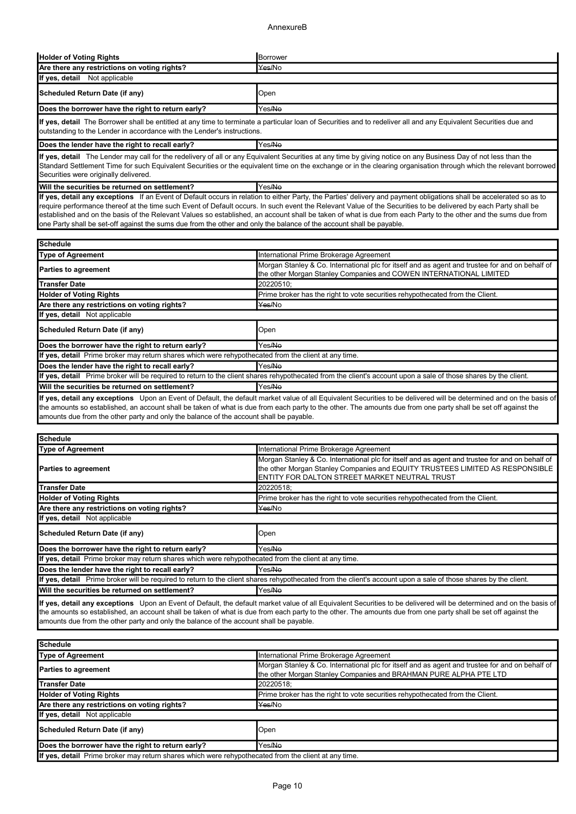### AnnexureB

| <b>Holder of Voting Rights</b>                                                                                                                                                                                                                                                                                                                                                 | Borrower |  |
|--------------------------------------------------------------------------------------------------------------------------------------------------------------------------------------------------------------------------------------------------------------------------------------------------------------------------------------------------------------------------------|----------|--|
| Are there any restrictions on voting rights?                                                                                                                                                                                                                                                                                                                                   | Yes/No   |  |
| If yes, detail Not applicable                                                                                                                                                                                                                                                                                                                                                  |          |  |
| Scheduled Return Date (if any)                                                                                                                                                                                                                                                                                                                                                 | Open     |  |
| Does the borrower have the right to return early?                                                                                                                                                                                                                                                                                                                              | Yes/No   |  |
| If yes, detail The Borrower shall be entitled at any time to terminate a particular loan of Securities and to redeliver all and any Equivalent Securities due and<br>outstanding to the Lender in accordance with the Lender's instructions.                                                                                                                                   |          |  |
| Does the lender have the right to recall early?                                                                                                                                                                                                                                                                                                                                | Yes/No   |  |
| If yes, detail The Lender may call for the redelivery of all or any Equivalent Securities at any time by giving notice on any Business Day of not less than the<br>Standard Settlement Time for such Equivalent Securities or the equivalent time on the exchange or in the clearing organisation through which the relevant borrowed<br>Securities were originally delivered. |          |  |

Will the securities be returned on settlement? Yes/No If yes, detail any exceptions If an Event of Default occurs in relation to either Party, the Parties' delivery and payment obligations shall be accelerated so as to require performance thereof at the time such Event of Default occurs. In such event the Relevant Value of the Securities to be delivered by each Party shall be established and on the basis of the Relevant Values so established, an account shall be taken of what is due from each Party to the other and the sums due from one Party shall be set-off against the sums due from the other and only the balance of the account shall be payable.

| Schedule                                                                                                                                                                                                                                                                                                                               |                                                                                                                                                                       |  |
|----------------------------------------------------------------------------------------------------------------------------------------------------------------------------------------------------------------------------------------------------------------------------------------------------------------------------------------|-----------------------------------------------------------------------------------------------------------------------------------------------------------------------|--|
| <b>Type of Agreement</b>                                                                                                                                                                                                                                                                                                               | International Prime Brokerage Agreement                                                                                                                               |  |
| <b>Parties to agreement</b>                                                                                                                                                                                                                                                                                                            | Morgan Stanley & Co. International plc for itself and as agent and trustee for and on behalf of<br>the other Morgan Stanley Companies and COWEN INTERNATIONAL LIMITED |  |
| lTransfer Date                                                                                                                                                                                                                                                                                                                         | 20220510;                                                                                                                                                             |  |
| <b>Holder of Voting Rights</b>                                                                                                                                                                                                                                                                                                         | Prime broker has the right to vote securities rehypothecated from the Client.                                                                                         |  |
| Are there any restrictions on voting rights?                                                                                                                                                                                                                                                                                           | Yes/No                                                                                                                                                                |  |
| If yes, detail Not applicable                                                                                                                                                                                                                                                                                                          |                                                                                                                                                                       |  |
| Scheduled Return Date (if any)                                                                                                                                                                                                                                                                                                         | Open                                                                                                                                                                  |  |
| Does the borrower have the right to return early?                                                                                                                                                                                                                                                                                      | Yes/No                                                                                                                                                                |  |
| If yes, detail Prime broker may return shares which were rehypothecated from the client at any time.                                                                                                                                                                                                                                   |                                                                                                                                                                       |  |
| Does the lender have the right to recall early?                                                                                                                                                                                                                                                                                        | Yes/No                                                                                                                                                                |  |
| Iff yes, detail Prime broker will be required to return to the client shares rehypothecated from the client's account upon a sale of those shares by the client.                                                                                                                                                                       |                                                                                                                                                                       |  |
| <b>IWill the securities be returned on settlement?</b>                                                                                                                                                                                                                                                                                 | Yes/No                                                                                                                                                                |  |
| If yes, detail any exceptions Upon an Event of Default, the default market value of all Equivalent Securities to be delivered will be determined and on the basis of<br>the empunte so octoblished, an account shall be taken of what is due from each party to the other. The empunte due from ano party shall be set off equipst the |                                                                                                                                                                       |  |

what is due from each party to the otl amounts due from the other party and only the balance of the account shall be payable.

| <b>ISchedule</b>                                                                                                                                                |                                                                                                                                                                                                                                   |  |
|-----------------------------------------------------------------------------------------------------------------------------------------------------------------|-----------------------------------------------------------------------------------------------------------------------------------------------------------------------------------------------------------------------------------|--|
| Type of Agreement                                                                                                                                               | International Prime Brokerage Agreement                                                                                                                                                                                           |  |
| <b>Parties to agreement</b>                                                                                                                                     | Morgan Stanley & Co. International plc for itself and as agent and trustee for and on behalf of<br>the other Morgan Stanley Companies and EQUITY TRUSTEES LIMITED AS RESPONSIBLE<br>ENTITY FOR DALTON STREET MARKET NEUTRAL TRUST |  |
| <b>Transfer Date</b>                                                                                                                                            | 20220518:                                                                                                                                                                                                                         |  |
| <b>Holder of Voting Rights</b>                                                                                                                                  | Prime broker has the right to vote securities rehypothecated from the Client.                                                                                                                                                     |  |
| Are there any restrictions on voting rights?                                                                                                                    | Yes/No                                                                                                                                                                                                                            |  |
| If yes, detail Not applicable                                                                                                                                   |                                                                                                                                                                                                                                   |  |
| Scheduled Return Date (if any)                                                                                                                                  | Open                                                                                                                                                                                                                              |  |
| Does the borrower have the right to return early?                                                                                                               | Yes/ <del>No</del>                                                                                                                                                                                                                |  |
| If yes, detail Prime broker may return shares which were rehypothecated from the client at any time.                                                            |                                                                                                                                                                                                                                   |  |
| Does the lender have the right to recall early?                                                                                                                 | Yes/No                                                                                                                                                                                                                            |  |
| If yes, detail Prime broker will be required to return to the client shares rehypothecated from the client's account upon a sale of those shares by the client. |                                                                                                                                                                                                                                   |  |
| Will the securities be returned on settlement?                                                                                                                  | Yes/No                                                                                                                                                                                                                            |  |

If yes, detail any exceptions Upon an Event of Default, the default market value of all Equivalent Securities to be delivered will be determined and on the basis of the amounts so established, an account shall be taken of what is due from each party to the other. The amounts due from one party shall be set off against the amounts due from the other party and only the balance of the account shall be payable.

| <b>ISchedule</b>                                                                                     |                                                                                                                                                                      |  |
|------------------------------------------------------------------------------------------------------|----------------------------------------------------------------------------------------------------------------------------------------------------------------------|--|
| <b>Type of Agreement</b>                                                                             | International Prime Brokerage Agreement                                                                                                                              |  |
| <b>Parties to agreement</b>                                                                          | Morgan Stanley & Co. International plc for itself and as agent and trustee for and on behalf of<br>the other Morgan Stanley Companies and BRAHMAN PURE ALPHA PTE LTD |  |
| Transfer Date                                                                                        | 20220518:                                                                                                                                                            |  |
| <b>Holder of Voting Rights</b>                                                                       | Prime broker has the right to vote securities rehypothecated from the Client.                                                                                        |  |
| Are there any restrictions on voting rights?                                                         | Yes/No                                                                                                                                                               |  |
| If yes, detail Not applicable                                                                        |                                                                                                                                                                      |  |
| Scheduled Return Date (if any)                                                                       | Open                                                                                                                                                                 |  |
| Does the borrower have the right to return early?                                                    | Yes/No                                                                                                                                                               |  |
| If yes, detail Prime broker may return shares which were rehypothecated from the client at any time. |                                                                                                                                                                      |  |